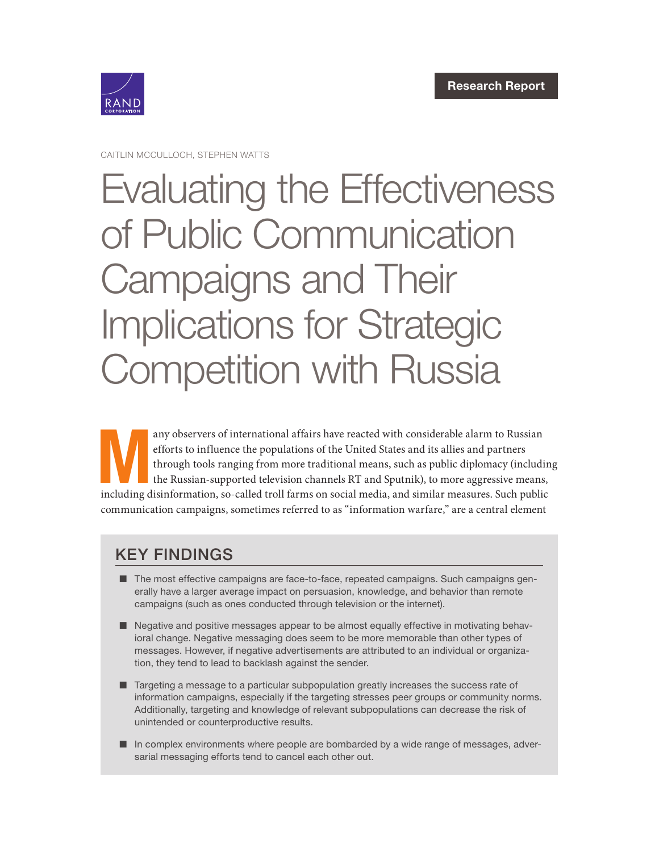

CAITLIN MCCULLOCH, STEPHEN WATTS

# [Evaluating the Effectiveness](https://www.rand.org/pubs/research_reports/RRA412-2.html)  of Public Communication Campaigns and Their Implications for Strategic Competition with Russia

any observers of international affairs have reacted with considerable alarm to Russian efforts to influence the populations of the United States and its allies and partners through tools ranging from more traditional means efforts to influence the populations of the United States and its allies and partners through tools ranging from more traditional means, such as public diplomacy (including the Russian-supported television channels RT and Sputnik), to more aggressive means, including disinformation, so-called troll farms on social media, and similar measures. Such public communication campaigns, sometimes referred to as "information warfare," are a central element

# KEY FINDINGS

- The most effective campaigns are face-to-face, repeated campaigns. Such campaigns generally have a larger average impact on persuasion, knowledge, and behavior than remote campaigns (such as ones conducted through television or the internet).
- Negative and positive messages appear to be almost equally effective in motivating behavioral change. Negative messaging does seem to be more memorable than other types of messages. However, if negative advertisements are attributed to an individual or organization, they tend to lead to backlash against the sender.
- Targeting a message to a particular subpopulation greatly increases the success rate of information campaigns, especially if the targeting stresses peer groups or community norms. Additionally, targeting and knowledge of relevant subpopulations can decrease the risk of unintended or counterproductive results.
- In complex environments where people are bombarded by a wide range of messages, adversarial messaging efforts tend to cancel each other out.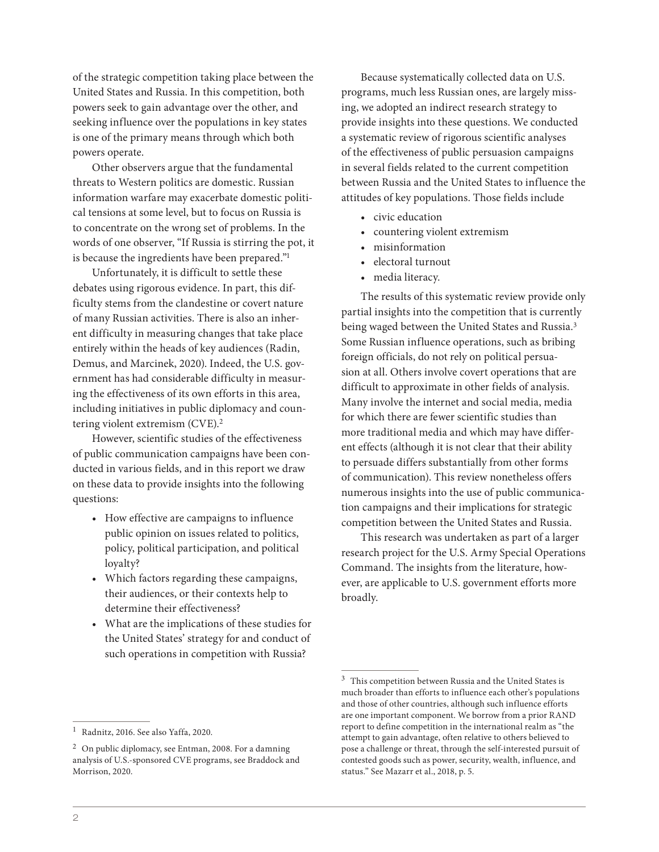of the strategic competition taking place between the United States and Russia. In this competition, both powers seek to gain advantage over the other, and seeking influence over the populations in key states is one of the primary means through which both powers operate.

Other observers argue that the fundamental threats to Western politics are domestic. Russian information warfare may exacerbate domestic political tensions at some level, but to focus on Russia is to concentrate on the wrong set of problems. In the words of one observer, "If Russia is stirring the pot, it is because the ingredients have been prepared."1

Unfortunately, it is difficult to settle these debates using rigorous evidence. In part, this difficulty stems from the clandestine or covert nature of many Russian activities. There is also an inherent difficulty in measuring changes that take place entirely within the heads of key audiences (Radin, Demus, and Marcinek, 2020). Indeed, the U.S. government has had considerable difficulty in measuring the effectiveness of its own efforts in this area, including initiatives in public diplomacy and countering violent extremism (CVE).2

However, scientific studies of the effectiveness of public communication campaigns have been conducted in various fields, and in this report we draw on these data to provide insights into the following questions:

- How effective are campaigns to influence public opinion on issues related to politics, policy, political participation, and political loyalty?
- Which factors regarding these campaigns, their audiences, or their contexts help to determine their effectiveness?
- What are the implications of these studies for the United States' strategy for and conduct of such operations in competition with Russia?

<sup>1</sup> Radnitz, 2016. See also Yaffa, 2020.

Because systematically collected data on U.S. programs, much less Russian ones, are largely missing, we adopted an indirect research strategy to provide insights into these questions. We conducted a systematic review of rigorous scientific analyses of the effectiveness of public persuasion campaigns in several fields related to the current competition between Russia and the United States to influence the attitudes of key populations. Those fields include

- civic education
- countering violent extremism
- misinformation
- electoral turnout
- media literacy.

The results of this systematic review provide only partial insights into the competition that is currently being waged between the United States and Russia.<sup>3</sup> Some Russian influence operations, such as bribing foreign officials, do not rely on political persuasion at all. Others involve covert operations that are difficult to approximate in other fields of analysis. Many involve the internet and social media, media for which there are fewer scientific studies than more traditional media and which may have different effects (although it is not clear that their ability to persuade differs substantially from other forms of communication). This review nonetheless offers numerous insights into the use of public communication campaigns and their implications for strategic competition between the United States and Russia.

This research was undertaken as part of a larger research project for the U.S. Army Special Operations Command. The insights from the literature, however, are applicable to U.S. government efforts more broadly.

<sup>2</sup> On public diplomacy, see Entman, 2008. For a damning analysis of U.S.-sponsored CVE programs, see Braddock and Morrison, 2020.

 $^3\,$  This competition between Russia and the United States is much broader than efforts to influence each other's populations and those of other countries, although such influence efforts are one important component. We borrow from a prior RAND report to define competition in the international realm as "the attempt to gain advantage, often relative to others believed to pose a challenge or threat, through the self-interested pursuit of contested goods such as power, security, wealth, influence, and status." See Mazarr et al., 2018, p. 5.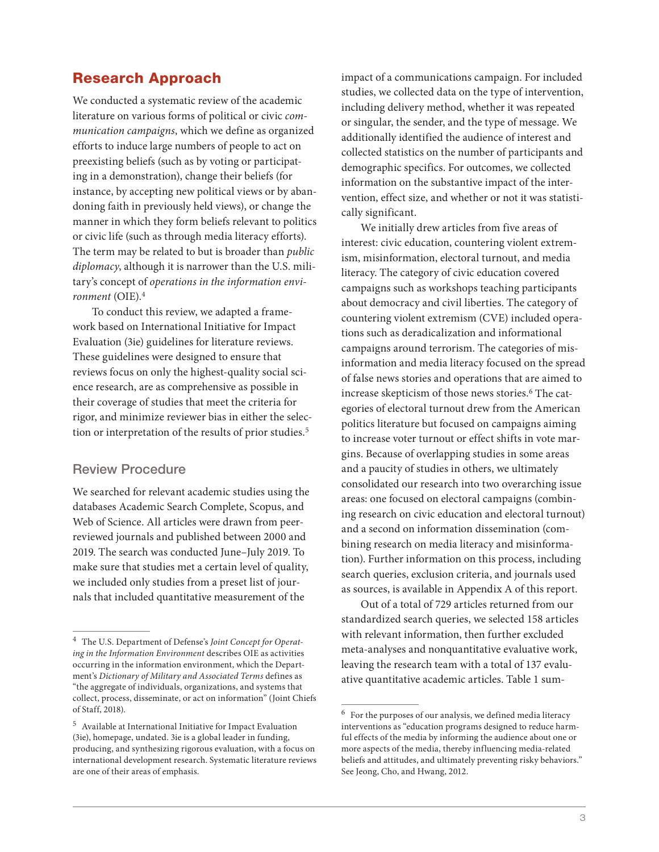# Research Approach

We conducted a systematic review of the academic literature on various forms of political or civic *communication campaigns*, which we define as organized efforts to induce large numbers of people to act on preexisting beliefs (such as by voting or participating in a demonstration), change their beliefs (for instance, by accepting new political views or by abandoning faith in previously held views), or change the manner in which they form beliefs relevant to politics or civic life (such as through media literacy efforts). The term may be related to but is broader than *public diplomacy*, although it is narrower than the U.S. military's concept of *operations in the information environment* (OIE).4

To conduct this review, we adapted a framework based on International Initiative for Impact Evaluation (3ie) guidelines for literature reviews. These guidelines were designed to ensure that reviews focus on only the highest-quality social science research, are as comprehensive as possible in their coverage of studies that meet the criteria for rigor, and minimize reviewer bias in either the selection or interpretation of the results of prior studies.<sup>5</sup>

# Review Procedure

We searched for relevant academic studies using the databases Academic Search Complete, Scopus, and Web of Science. All articles were drawn from peerreviewed journals and published between 2000 and 2019. The search was conducted June–July 2019. To make sure that studies met a certain level of quality, we included only studies from a preset list of journals that included quantitative measurement of the

impact of a communications campaign. For included studies, we collected data on the type of intervention, including delivery method, whether it was repeated or singular, the sender, and the type of message. We additionally identified the audience of interest and collected statistics on the number of participants and demographic specifics. For outcomes, we collected information on the substantive impact of the intervention, effect size, and whether or not it was statistically significant.

We initially drew articles from five areas of interest: civic education, countering violent extremism, misinformation, electoral turnout, and media literacy. The category of civic education covered campaigns such as workshops teaching participants about democracy and civil liberties. The category of countering violent extremism (CVE) included operations such as deradicalization and informational campaigns around terrorism. The categories of misinformation and media literacy focused on the spread of false news stories and operations that are aimed to increase skepticism of those news stories.<sup>6</sup> The categories of electoral turnout drew from the American politics literature but focused on campaigns aiming to increase voter turnout or effect shifts in vote margins. Because of overlapping studies in some areas and a paucity of studies in others, we ultimately consolidated our research into two overarching issue areas: one focused on electoral campaigns (combining research on civic education and electoral turnout) and a second on information dissemination (combining research on media literacy and misinformation). Further information on this process, including search queries, exclusion criteria, and journals used as sources, is available in Appendix A of this report.

Out of a total of 729 articles returned from our standardized search queries, we selected 158 articles with relevant information, then further excluded meta-analyses and nonquantitative evaluative work, leaving the research team with a total of 137 evaluative quantitative academic articles. Table 1 sum-

<sup>4</sup> The U.S. Department of Defense's *Joint Concept for Operating in the Information Environment* describes OIE as activities occurring in the information environment, which the Department's *Dictionary of Military and Associated Terms* defines as "the aggregate of individuals, organizations, and systems that collect, process, disseminate, or act on information" (Joint Chiefs of Staff, 2018).

 $^5\,$  Available at International Initiative for Impact Evaluation (3ie), homepage, undated. 3ie is a global leader in funding, producing, and synthesizing rigorous evaluation, with a focus on international development research. Systematic literature reviews are one of their areas of emphasis.

 $^6\,$  For the purposes of our analysis, we defined media literacy interventions as "education programs designed to reduce harmful effects of the media by informing the audience about one or more aspects of the media, thereby influencing media-related beliefs and attitudes, and ultimately preventing risky behaviors." See Jeong, Cho, and Hwang, 2012.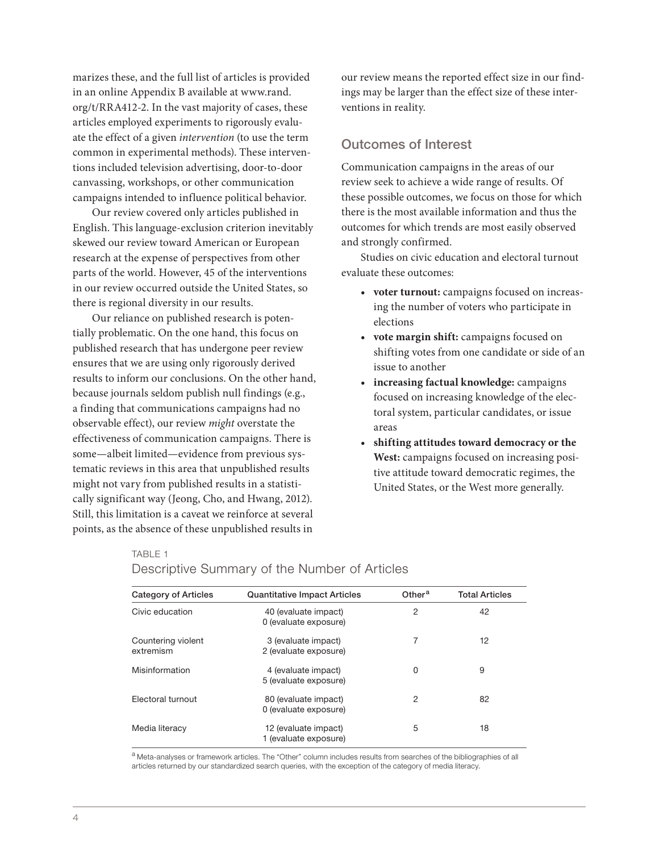marizes these, and the full list of articles is provided in an online Appendix B available at [www.rand.](http://www.rand.org/t/RRA412-2) [org/t/RRA412-2](http://www.rand.org/t/RRA412-2). In the vast majority of cases, these articles employed experiments to rigorously evaluate the effect of a given *intervention* (to use the term common in experimental methods). These interventions included television advertising, door-to-door canvassing, workshops, or other communication campaigns intended to influence political behavior.

Our review covered only articles published in English. This language-exclusion criterion inevitably skewed our review toward American or European research at the expense of perspectives from other parts of the world. However, 45 of the interventions in our review occurred outside the United States, so there is regional diversity in our results.

Our reliance on published research is potentially problematic. On the one hand, this focus on published research that has undergone peer review ensures that we are using only rigorously derived results to inform our conclusions. On the other hand, because journals seldom publish null findings (e.g., a finding that communications campaigns had no observable effect), our review *might* overstate the effectiveness of communication campaigns. There is some—albeit limited—evidence from previous systematic reviews in this area that unpublished results might not vary from published results in a statistically significant way (Jeong, Cho, and Hwang, 2012). Still, this limitation is a caveat we reinforce at several points, as the absence of these unpublished results in

our review means the reported effect size in our findings may be larger than the effect size of these interventions in reality.

# Outcomes of Interest

Communication campaigns in the areas of our review seek to achieve a wide range of results. Of these possible outcomes, we focus on those for which there is the most available information and thus the outcomes for which trends are most easily observed and strongly confirmed.

Studies on civic education and electoral turnout evaluate these outcomes:

- **• voter turnout:** campaigns focused on increasing the number of voters who participate in elections
- **• vote margin shift:** campaigns focused on shifting votes from one candidate or side of an issue to another
- **• increasing factual knowledge:** campaigns focused on increasing knowledge of the electoral system, particular candidates, or issue areas
- **• shifting attitudes toward democracy or the West:** campaigns focused on increasing positive attitude toward democratic regimes, the United States, or the West more generally.

## TABLE 1

| <b>Category of Articles</b>     | <b>Quantitative Impact Articles</b>           | Other <sup>a</sup> | <b>Total Articles</b> |
|---------------------------------|-----------------------------------------------|--------------------|-----------------------|
| Civic education                 | 40 (evaluate impact)<br>0 (evaluate exposure) | 2                  | 42                    |
| Countering violent<br>extremism | 3 (evaluate impact)<br>2 (evaluate exposure)  | 7                  | 12                    |
| Misinformation                  | 4 (evaluate impact)<br>5 (evaluate exposure)  | 0                  | 9                     |
| Electoral turnout               | 80 (evaluate impact)<br>0 (evaluate exposure) | 2                  | 82                    |
| Media literacy                  | 12 (evaluate impact)<br>1 (evaluate exposure) | 5                  | 18                    |

# Descriptive Summary of the Number of Articles

a Meta-analyses or framework articles. The "Other" column includes results from searches of the bibliographies of all articles returned by our standardized search queries, with the exception of the category of media literacy.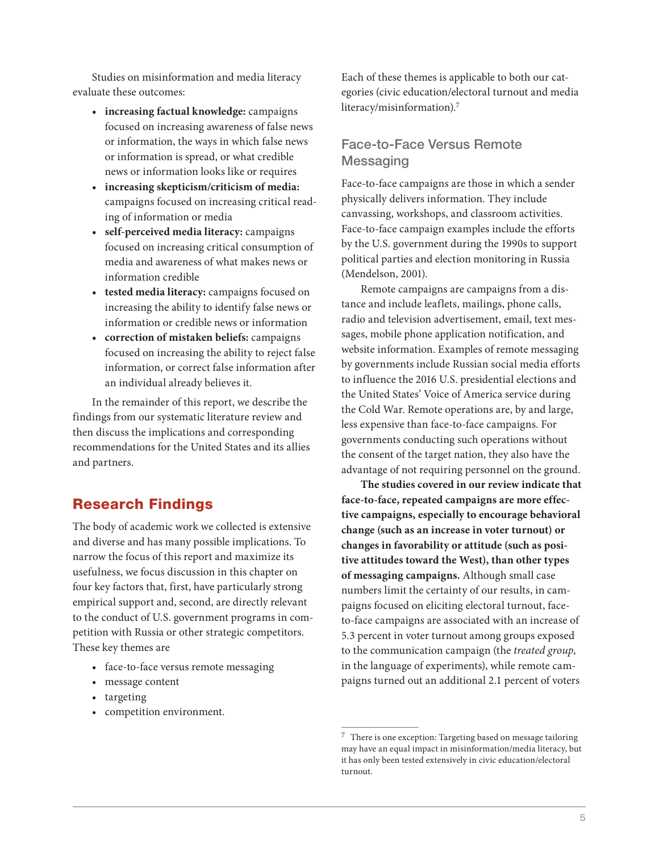Studies on misinformation and media literacy evaluate these outcomes:

- **• increasing factual knowledge:** campaigns focused on increasing awareness of false news or information, the ways in which false news or information is spread, or what credible news or information looks like or requires
- **• increasing skepticism/criticism of media:** campaigns focused on increasing critical reading of information or media
- **• self-perceived media literacy:** campaigns focused on increasing critical consumption of media and awareness of what makes news or information credible
- **• tested media literacy:** campaigns focused on increasing the ability to identify false news or information or credible news or information
- **• correction of mistaken beliefs:** campaigns focused on increasing the ability to reject false information, or correct false information after an individual already believes it.

In the remainder of this report, we describe the findings from our systematic literature review and then discuss the implications and corresponding recommendations for the United States and its allies and partners.

# Research Findings

The body of academic work we collected is extensive and diverse and has many possible implications. To narrow the focus of this report and maximize its usefulness, we focus discussion in this chapter on four key factors that, first, have particularly strong empirical support and, second, are directly relevant to the conduct of U.S. government programs in competition with Russia or other strategic competitors. These key themes are

- face-to-face versus remote messaging
- message content
- targeting
- competition environment.

Each of these themes is applicable to both our categories (civic education/electoral turnout and media literacy/misinformation).7

# Face-to-Face Versus Remote **Messaging**

Face-to-face campaigns are those in which a sender physically delivers information. They include canvassing, workshops, and classroom activities. Face-to-face campaign examples include the efforts by the U.S. government during the 1990s to support political parties and election monitoring in Russia (Mendelson, 2001).

Remote campaigns are campaigns from a distance and include leaflets, mailings, phone calls, radio and television advertisement, email, text messages, mobile phone application notification, and website information. Examples of remote messaging by governments include Russian social media efforts to influence the 2016 U.S. presidential elections and the United States' Voice of America service during the Cold War. Remote operations are, by and large, less expensive than face-to-face campaigns. For governments conducting such operations without the consent of the target nation, they also have the advantage of not requiring personnel on the ground.

**The studies covered in our review indicate that face-to-face, repeated campaigns are more effective campaigns, especially to encourage behavioral change (such as an increase in voter turnout) or changes in favorability or attitude (such as positive attitudes toward the West), than other types of messaging campaigns.** Although small case numbers limit the certainty of our results, in campaigns focused on eliciting electoral turnout, faceto-face campaigns are associated with an increase of 5.3 percent in voter turnout among groups exposed to the communication campaign (the *treated group*, in the language of experiments), while remote campaigns turned out an additional 2.1 percent of voters

 $^7\,$  There is one exception: Targeting based on message tailoring may have an equal impact in misinformation/media literacy, but it has only been tested extensively in civic education/electoral turnout.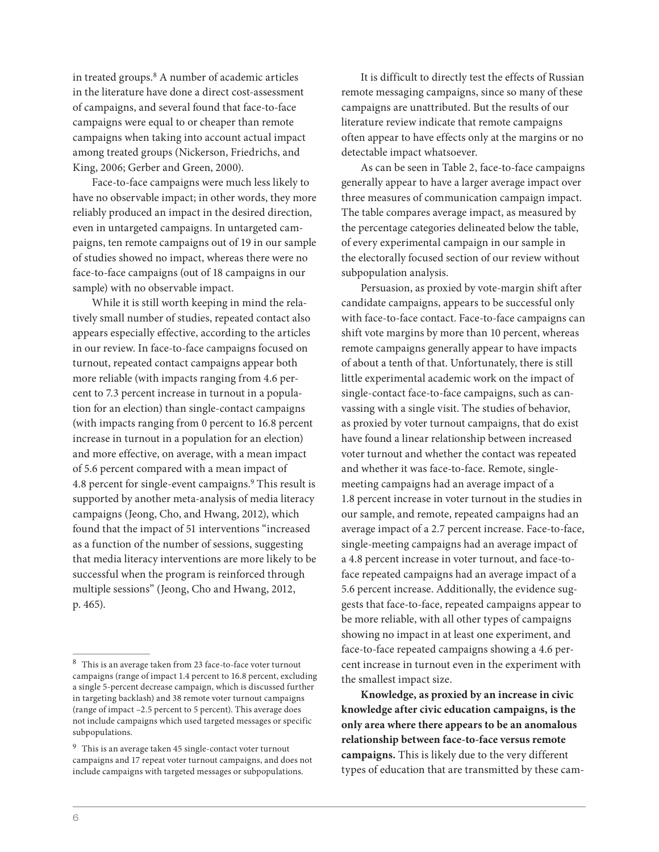in treated groups.8 A number of academic articles in the literature have done a direct cost-assessment of campaigns, and several found that face-to-face campaigns were equal to or cheaper than remote campaigns when taking into account actual impact among treated groups (Nickerson, Friedrichs, and King, 2006; Gerber and Green, 2000).

Face-to-face campaigns were much less likely to have no observable impact; in other words, they more reliably produced an impact in the desired direction, even in untargeted campaigns. In untargeted campaigns, ten remote campaigns out of 19 in our sample of studies showed no impact, whereas there were no face-to-face campaigns (out of 18 campaigns in our sample) with no observable impact.

While it is still worth keeping in mind the relatively small number of studies, repeated contact also appears especially effective, according to the articles in our review. In face-to-face campaigns focused on turnout, repeated contact campaigns appear both more reliable (with impacts ranging from 4.6 percent to 7.3 percent increase in turnout in a population for an election) than single-contact campaigns (with impacts ranging from 0 percent to 16.8 percent increase in turnout in a population for an election) and more effective, on average, with a mean impact of 5.6 percent compared with a mean impact of 4.8 percent for single-event campaigns.9 This result is supported by another meta-analysis of media literacy campaigns (Jeong, Cho, and Hwang, 2012), which found that the impact of 51 interventions "increased as a function of the number of sessions, suggesting that media literacy interventions are more likely to be successful when the program is reinforced through multiple sessions" (Jeong, Cho and Hwang, 2012, p. 465).

It is difficult to directly test the effects of Russian remote messaging campaigns, since so many of these campaigns are unattributed. But the results of our literature review indicate that remote campaigns often appear to have effects only at the margins or no detectable impact whatsoever.

As can be seen in Table 2, face-to-face campaigns generally appear to have a larger average impact over three measures of communication campaign impact. The table compares average impact, as measured by the percentage categories delineated below the table, of every experimental campaign in our sample in the electorally focused section of our review without subpopulation analysis.

Persuasion, as proxied by vote-margin shift after candidate campaigns, appears to be successful only with face-to-face contact. Face-to-face campaigns can shift vote margins by more than 10 percent, whereas remote campaigns generally appear to have impacts of about a tenth of that. Unfortunately, there is still little experimental academic work on the impact of single-contact face-to-face campaigns, such as canvassing with a single visit. The studies of behavior, as proxied by voter turnout campaigns, that do exist have found a linear relationship between increased voter turnout and whether the contact was repeated and whether it was face-to-face. Remote, singlemeeting campaigns had an average impact of a 1.8 percent increase in voter turnout in the studies in our sample, and remote, repeated campaigns had an average impact of a 2.7 percent increase. Face-to-face, single-meeting campaigns had an average impact of a 4.8 percent increase in voter turnout, and face-toface repeated campaigns had an average impact of a 5.6 percent increase. Additionally, the evidence suggests that face-to-face, repeated campaigns appear to be more reliable, with all other types of campaigns showing no impact in at least one experiment, and face-to-face repeated campaigns showing a 4.6 percent increase in turnout even in the experiment with the smallest impact size.

**Knowledge, as proxied by an increase in civic knowledge after civic education campaigns, is the only area where there appears to be an anomalous relationship between face-to-face versus remote campaigns.** This is likely due to the very different types of education that are transmitted by these cam-

 $^8\,$  This is an average taken from 23 face-to-face voter turnout campaigns (range of impact 1.4 percent to 16.8 percent, excluding a single 5-percent decrease campaign, which is discussed further in targeting backlash) and 38 remote voter turnout campaigns (range of impact –2.5 percent to 5 percent). This average does not include campaigns which used targeted messages or specific subpopulations.

 $^9\,$  This is an average taken 45 single-contact voter turnout campaigns and 17 repeat voter turnout campaigns, and does not include campaigns with targeted messages or subpopulations.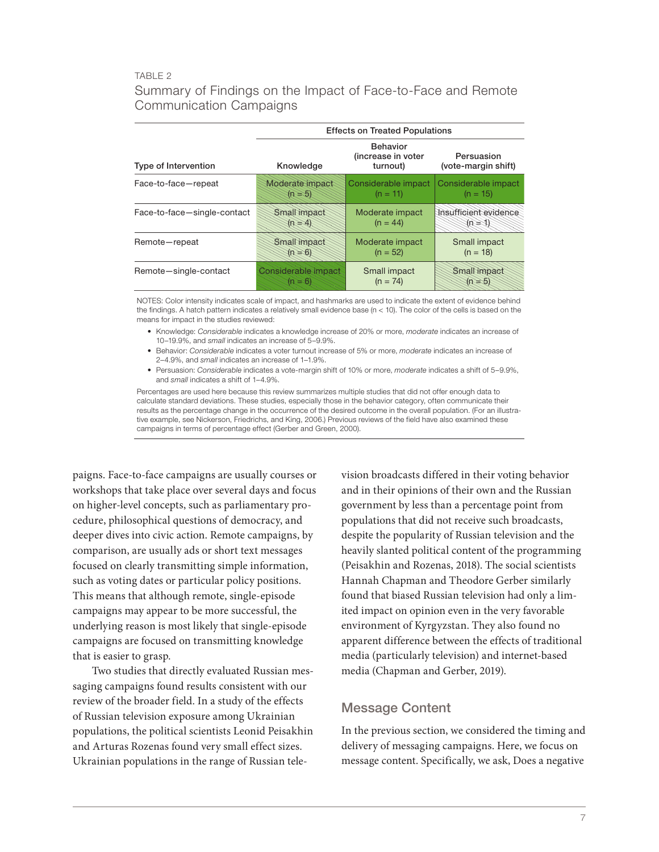## TABLE 2

# Summary of Findings on the Impact of Face-to-Face and Remote Communication Campaigns

|                             | <b>Effects on Treated Populations</b> |                                                   |                                   |  |
|-----------------------------|---------------------------------------|---------------------------------------------------|-----------------------------------|--|
| Type of Intervention        | Knowledge                             | <b>Behavior</b><br>(increase in voter<br>turnout) | Persuasion<br>(vote-margin shift) |  |
| Face-to-face-repeat         | Moderate impact                       | Considerable impact<br>$(n = 11)$                 | Considerable impact<br>$(n = 15)$ |  |
| Face-to-face-single-contact | Small impact                          | Moderate impact<br>$(n = 44)$                     | Insufficient evidence             |  |
| Remote-repeat               | Small Impact                          | Moderate impact<br>$(n = 52)$                     | Small impact<br>$(n = 18)$        |  |
| Remote-single-contact       | Sonsiderable impact                   | Small impact<br>$(n = 74)$                        | Smallimpact                       |  |

NOTES: Color intensity indicates scale of impact, and hashmarks are used to indicate the extent of evidence behind the findings. A hatch pattern indicates a relatively small evidence base (n < 10). The color of the cells is based on the means for impact in the studies reviewed:

- Knowledge: *Considerable* indicates a knowledge increase of 20% or more, *moderate* indicates an increase of 10–19.9%, and *small* indicates an increase of 5–9.9%.
- Behavior: *Considerable* indicates a voter turnout increase of 5% or more, *moderate* indicates an increase of 2–4.9%, and *small* indicates an increase of 1–1.9%.
- Persuasion: *Considerable* indicates a vote-margin shift of 10% or more, *moderate* indicates a shift of 5–9.9%, and *small* indicates a shift of 1–4.9%.

Percentages are used here because this review summarizes multiple studies that did not offer enough data to calculate standard deviations. These studies, especially those in the behavior category, often communicate their results as the percentage change in the occurrence of the desired outcome in the overall population. (For an illustrative example, see Nickerson, Friedrichs, and King, 2006.) Previous reviews of the field have also examined these campaigns in terms of percentage effect (Gerber and Green, 2000).

paigns. Face-to-face campaigns are usually courses or workshops that take place over several days and focus on higher-level concepts, such as parliamentary procedure, philosophical questions of democracy, and deeper dives into civic action. Remote campaigns, by comparison, are usually ads or short text messages focused on clearly transmitting simple information, such as voting dates or particular policy positions. This means that although remote, single-episode campaigns may appear to be more successful, the underlying reason is most likely that single-episode campaigns are focused on transmitting knowledge that is easier to grasp.

Two studies that directly evaluated Russian messaging campaigns found results consistent with our review of the broader field. In a study of the effects of Russian television exposure among Ukrainian populations, the political scientists Leonid Peisakhin and Arturas Rozenas found very small effect sizes. Ukrainian populations in the range of Russian television broadcasts differed in their voting behavior and in their opinions of their own and the Russian government by less than a percentage point from populations that did not receive such broadcasts, despite the popularity of Russian television and the heavily slanted political content of the programming (Peisakhin and Rozenas, 2018). The social scientists Hannah Chapman and Theodore Gerber similarly found that biased Russian television had only a limited impact on opinion even in the very favorable environment of Kyrgyzstan. They also found no apparent difference between the effects of traditional media (particularly television) and internet-based media (Chapman and Gerber, 2019).

## Message Content

In the previous section, we considered the timing and delivery of messaging campaigns. Here, we focus on message content. Specifically, we ask, Does a negative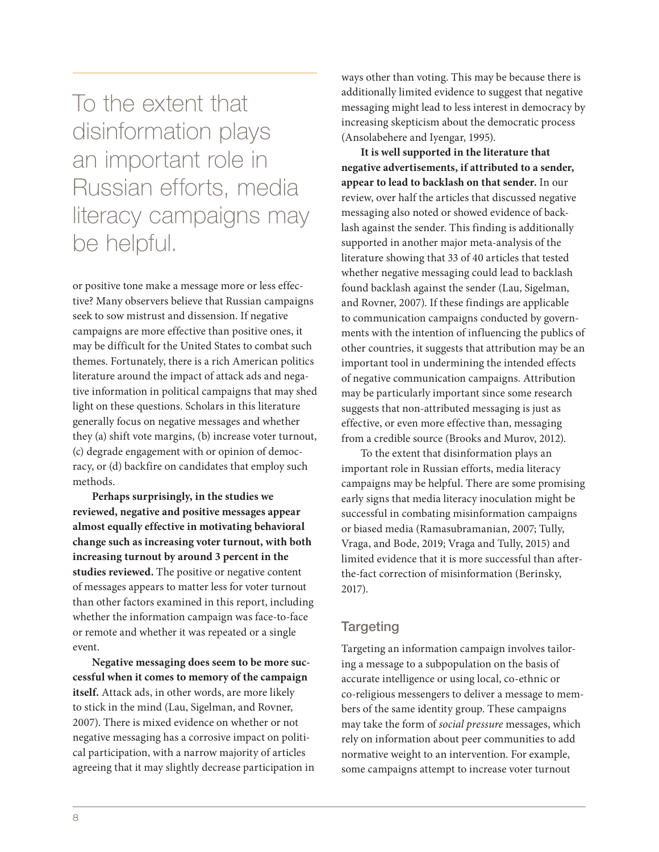To the extent that disinformation plays an important role in Russian efforts, media literacy campaigns may be helpful.

or positive tone make a message more or less effective? Many observers believe that Russian campaigns seek to sow mistrust and dissension. If negative campaigns are more effective than positive ones, it may be difficult for the United States to combat such themes. Fortunately, there is a rich American politics literature around the impact of attack ads and negative information in political campaigns that may shed light on these questions. Scholars in this literature generally focus on negative messages and whether they (a) shift vote margins, (b) increase voter turnout, (c) degrade engagement with or opinion of democracy, or (d) backfire on candidates that employ such methods.

**Perhaps surprisingly, in the studies we reviewed, negative and positive messages appear almost equally effective in motivating behavioral change such as increasing voter turnout, with both increasing turnout by around 3 percent in the studies reviewed.** The positive or negative content of messages appears to matter less for voter turnout than other factors examined in this report, including whether the information campaign was face-to-face or remote and whether it was repeated or a single event.

**Negative messaging does seem to be more successful when it comes to memory of the campaign itself.** Attack ads, in other words, are more likely to stick in the mind (Lau, Sigelman, and Rovner, 2007). There is mixed evidence on whether or not negative messaging has a corrosive impact on political participation, with a narrow majority of articles agreeing that it may slightly decrease participation in ways other than voting. This may be because there is additionally limited evidence to suggest that negative messaging might lead to less interest in democracy by increasing skepticism about the democratic process (Ansolabehere and Iyengar, 1995).

**It is well supported in the literature that negative advertisements, if attributed to a sender, appear to lead to backlash on that sender.** In our review, over half the articles that discussed negative messaging also noted or showed evidence of backlash against the sender. This finding is additionally supported in another major meta-analysis of the literature showing that 33 of 40 articles that tested whether negative messaging could lead to backlash found backlash against the sender (Lau, Sigelman, and Rovner, 2007). If these findings are applicable to communication campaigns conducted by governments with the intention of influencing the publics of other countries, it suggests that attribution may be an important tool in undermining the intended effects of negative communication campaigns. Attribution may be particularly important since some research suggests that non-attributed messaging is just as effective, or even more effective than, messaging from a credible source (Brooks and Murov, 2012).

To the extent that disinformation plays an important role in Russian efforts, media literacy campaigns may be helpful. There are some promising early signs that media literacy inoculation might be successful in combating misinformation campaigns or biased media (Ramasubramanian, 2007; Tully, Vraga, and Bode, 2019; Vraga and Tully, 2015) and limited evidence that it is more successful than afterthe-fact correction of misinformation (Berinsky, 2017).

# **Targeting**

Targeting an information campaign involves tailoring a message to a subpopulation on the basis of accurate intelligence or using local, co-ethnic or co-religious messengers to deliver a message to members of the same identity group. These campaigns may take the form of *social pressure* messages, which rely on information about peer communities to add normative weight to an intervention. For example, some campaigns attempt to increase voter turnout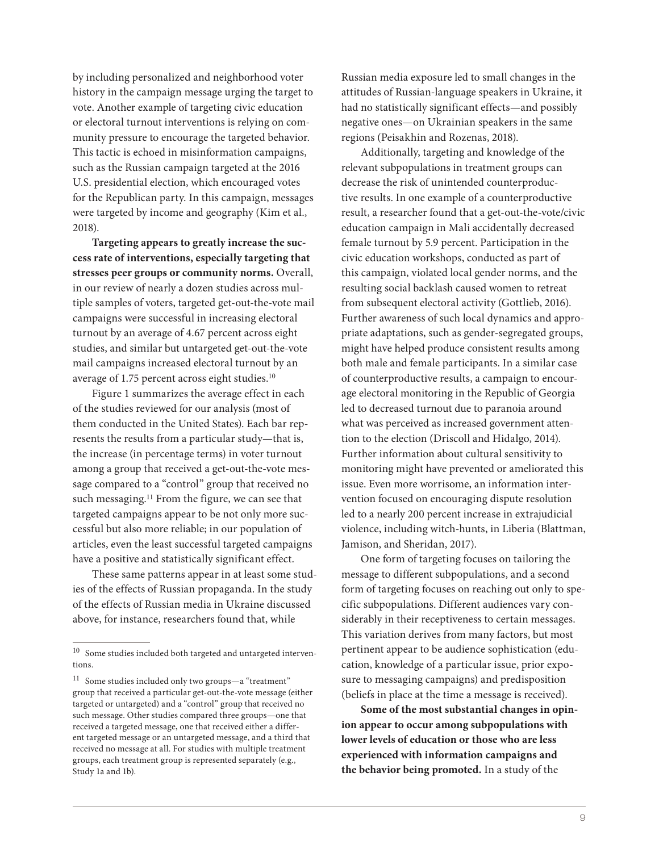by including personalized and neighborhood voter history in the campaign message urging the target to vote. Another example of targeting civic education or electoral turnout interventions is relying on community pressure to encourage the targeted behavior. This tactic is echoed in misinformation campaigns, such as the Russian campaign targeted at the 2016 U.S. presidential election, which encouraged votes for the Republican party. In this campaign, messages were targeted by income and geography (Kim et al., 2018).

**Targeting appears to greatly increase the success rate of interventions, especially targeting that stresses peer groups or community norms.** Overall, in our review of nearly a dozen studies across multiple samples of voters, targeted get-out-the-vote mail campaigns were successful in increasing electoral turnout by an average of 4.67 percent across eight studies, and similar but untargeted get-out-the-vote mail campaigns increased electoral turnout by an average of 1.75 percent across eight studies.10

Figure 1 summarizes the average effect in each of the studies reviewed for our analysis (most of them conducted in the United States). Each bar represents the results from a particular study—that is, the increase (in percentage terms) in voter turnout among a group that received a get-out-the-vote message compared to a "control" group that received no such messaging.<sup>11</sup> From the figure, we can see that targeted campaigns appear to be not only more successful but also more reliable; in our population of articles, even the least successful targeted campaigns have a positive and statistically significant effect.

These same patterns appear in at least some studies of the effects of Russian propaganda. In the study of the effects of Russian media in Ukraine discussed above, for instance, researchers found that, while

Russian media exposure led to small changes in the attitudes of Russian-language speakers in Ukraine, it had no statistically significant effects—and possibly negative ones—on Ukrainian speakers in the same regions (Peisakhin and Rozenas, 2018).

Additionally, targeting and knowledge of the relevant subpopulations in treatment groups can decrease the risk of unintended counterproductive results. In one example of a counterproductive result, a researcher found that a get-out-the-vote/civic education campaign in Mali accidentally decreased female turnout by 5.9 percent. Participation in the civic education workshops, conducted as part of this campaign, violated local gender norms, and the resulting social backlash caused women to retreat from subsequent electoral activity (Gottlieb, 2016). Further awareness of such local dynamics and appropriate adaptations, such as gender-segregated groups, might have helped produce consistent results among both male and female participants. In a similar case of counterproductive results, a campaign to encourage electoral monitoring in the Republic of Georgia led to decreased turnout due to paranoia around what was perceived as increased government attention to the election (Driscoll and Hidalgo, 2014). Further information about cultural sensitivity to monitoring might have prevented or ameliorated this issue. Even more worrisome, an information intervention focused on encouraging dispute resolution led to a nearly 200 percent increase in extrajudicial violence, including witch-hunts, in Liberia (Blattman, Jamison, and Sheridan, 2017).

One form of targeting focuses on tailoring the message to different subpopulations, and a second form of targeting focuses on reaching out only to specific subpopulations. Different audiences vary considerably in their receptiveness to certain messages. This variation derives from many factors, but most pertinent appear to be audience sophistication (education, knowledge of a particular issue, prior exposure to messaging campaigns) and predisposition (beliefs in place at the time a message is received).

**Some of the most substantial changes in opinion appear to occur among subpopulations with lower levels of education or those who are less experienced with information campaigns and the behavior being promoted.** In a study of the

<sup>10</sup> Some studies included both targeted and untargeted interventions.

<sup>11</sup> Some studies included only two groups—a "treatment" group that received a particular get-out-the-vote message (either targeted or untargeted) and a "control" group that received no such message. Other studies compared three groups—one that received a targeted message, one that received either a different targeted message or an untargeted message, and a third that received no message at all. For studies with multiple treatment groups, each treatment group is represented separately (e.g., Study 1a and 1b).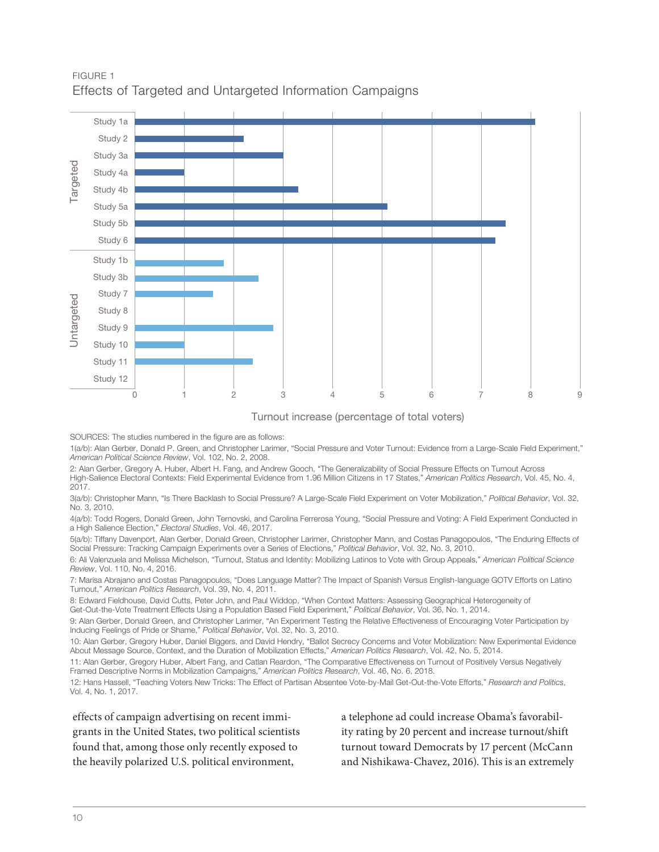



### Turnout increase (percentage of total voters)

SOURCES: The studies numbered in the figure are as follows:

1(a/b): Alan Gerber, Donald P. Green, and Christopher Larimer, "Social Pressure and Voter Turnout: Evidence from a Large-Scale Field Experiment," *American Political Science Review*, Vol. 102, No. 2, 2008.

2: Alan Gerber, Gregory A. Huber, Albert H. Fang, and Andrew Gooch, "The Generalizability of Social Pressure Effects on Turnout Across High-Salience Electoral Contexts: Field Experimental Evidence from 1.96 Million Citizens in 17 States," *American Politics Research*, Vol. 45, No. 4, 2017.

3(a/b): Christopher Mann, "Is There Backlash to Social Pressure? A Large-Scale Field Experiment on Voter Mobilization," *Political Behavior*, Vol. 32, No. 3, 2010.

4(a/b): Todd Rogers, Donald Green, John Ternovski, and Carolina Ferrerosa Young, "Social Pressure and Voting: A Field Experiment Conducted in a High Salience Election," *Electoral Studies*, Vol. 46, 2017.

5(a/b): Tiffany Davenport, Alan Gerber, Donald Green, Christopher Larimer, Christopher Mann, and Costas Panagopoulos, "The Enduring Effects of Social Pressure: Tracking Campaign Experiments over a Series of Elections," *Political Behavior*, Vol. 32, No. 3, 2010.

6: Ali Valenzuela and Melissa Michelson, "Turnout, Status and Identity: Mobilizing Latinos to Vote with Group Appeals," *American Political Science Review*, Vol. 110, No. 4, 2016.

7: Marisa Abrajano and Costas Panagopoulos, "Does Language Matter? The Impact of Spanish Versus English-language GOTV Efforts on Latino Turnout," *American Politics Research*, Vol. 39, No. 4, 2011.

8: Edward Fieldhouse, David Cutts, Peter John, and Paul Widdop, "When Context Matters: Assessing Geographical Heterogeneity of Get-Out-the-Vote Treatment Effects Using a Population Based Field Experiment," *Political Behavior*, Vol. 36, No. 1, 2014.

9: Alan Gerber, Donald Green, and Christopher Larimer, "An Experiment Testing the Relative Effectiveness of Encouraging Voter Participation by Inducing Feelings of Pride or Shame," *Political Behavior*, Vol. 32, No. 3, 2010.

10: Alan Gerber, Gregory Huber, Daniel Biggers, and David Hendry, "Ballot Secrecy Concerns and Voter Mobilization: New Experimental Evidence About Message Source, Context, and the Duration of Mobilization Effects," *American Politics Research*, Vol. 42, No. 5, 2014.

11: Alan Gerber, Gregory Huber, Albert Fang, and Catlan Reardon, "The Comparative Effectiveness on Turnout of Positively Versus Negatively Framed Descriptive Norms in Mobilization Campaigns," *American Politics Research*, Vol. 46, No. 6, 2018.

12: Hans Hassell, "Teaching Voters New Tricks: The Effect of Partisan Absentee Vote-by-Mail Get-Out-the-Vote Efforts," *Research and Politics*, Vol. 4, No. 1, 2017.

effects of campaign advertising on recent immigrants in the United States, two political scientists found that, among those only recently exposed to the heavily polarized U.S. political environment,

a telephone ad could increase Obama's favorability rating by 20 percent and increase turnout/shift turnout toward Democrats by 17 percent (McCann and Nishikawa-Chavez, 2016). This is an extremely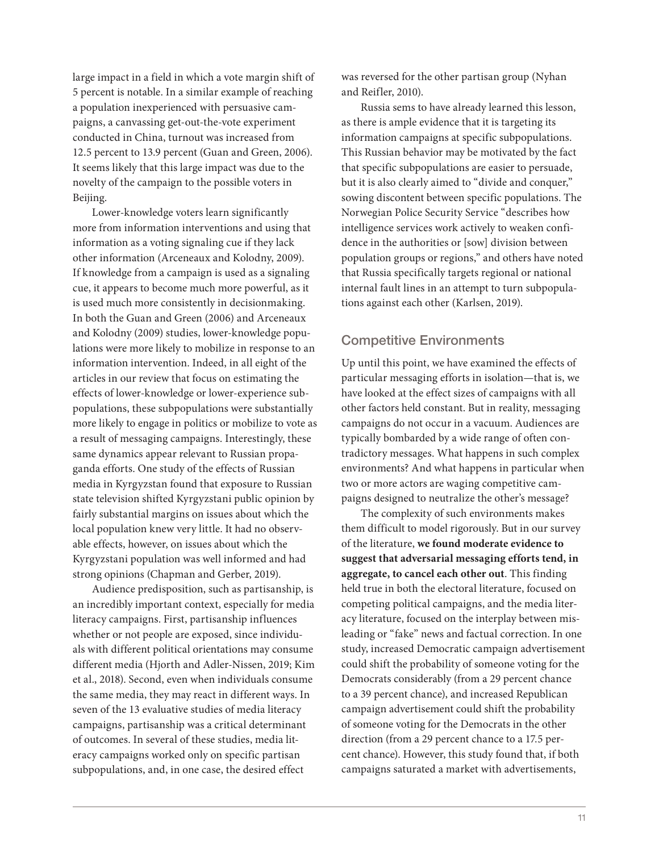large impact in a field in which a vote margin shift of 5 percent is notable. In a similar example of reaching a population inexperienced with persuasive campaigns, a canvassing get-out-the-vote experiment conducted in China, turnout was increased from 12.5 percent to 13.9 percent (Guan and Green, 2006). It seems likely that this large impact was due to the novelty of the campaign to the possible voters in Beijing.

Lower-knowledge voters learn significantly more from information interventions and using that information as a voting signaling cue if they lack other information (Arceneaux and Kolodny, 2009). If knowledge from a campaign is used as a signaling cue, it appears to become much more powerful, as it is used much more consistently in decisionmaking. In both the Guan and Green (2006) and Arceneaux and Kolodny (2009) studies, lower-knowledge populations were more likely to mobilize in response to an information intervention. Indeed, in all eight of the articles in our review that focus on estimating the effects of lower-knowledge or lower-experience subpopulations, these subpopulations were substantially more likely to engage in politics or mobilize to vote as a result of messaging campaigns. Interestingly, these same dynamics appear relevant to Russian propaganda efforts. One study of the effects of Russian media in Kyrgyzstan found that exposure to Russian state television shifted Kyrgyzstani public opinion by fairly substantial margins on issues about which the local population knew very little. It had no observable effects, however, on issues about which the Kyrgyzstani population was well informed and had strong opinions (Chapman and Gerber, 2019).

Audience predisposition, such as partisanship, is an incredibly important context, especially for media literacy campaigns. First, partisanship influences whether or not people are exposed, since individuals with different political orientations may consume different media (Hjorth and Adler-Nissen, 2019; Kim et al., 2018). Second, even when individuals consume the same media, they may react in different ways. In seven of the 13 evaluative studies of media literacy campaigns, partisanship was a critical determinant of outcomes. In several of these studies, media literacy campaigns worked only on specific partisan subpopulations, and, in one case, the desired effect

was reversed for the other partisan group (Nyhan and Reifler, 2010).

Russia sems to have already learned this lesson, as there is ample evidence that it is targeting its information campaigns at specific subpopulations. This Russian behavior may be motivated by the fact that specific subpopulations are easier to persuade, but it is also clearly aimed to "divide and conquer," sowing discontent between specific populations. The Norwegian Police Security Service "describes how intelligence services work actively to weaken confidence in the authorities or [sow] division between population groups or regions," and others have noted that Russia specifically targets regional or national internal fault lines in an attempt to turn subpopulations against each other (Karlsen, 2019).

# Competitive Environments

Up until this point, we have examined the effects of particular messaging efforts in isolation—that is, we have looked at the effect sizes of campaigns with all other factors held constant. But in reality, messaging campaigns do not occur in a vacuum. Audiences are typically bombarded by a wide range of often contradictory messages. What happens in such complex environments? And what happens in particular when two or more actors are waging competitive campaigns designed to neutralize the other's message?

The complexity of such environments makes them difficult to model rigorously. But in our survey of the literature, **we found moderate evidence to suggest that adversarial messaging efforts tend, in aggregate, to cancel each other out**. This finding held true in both the electoral literature, focused on competing political campaigns, and the media literacy literature, focused on the interplay between misleading or "fake" news and factual correction. In one study, increased Democratic campaign advertisement could shift the probability of someone voting for the Democrats considerably (from a 29 percent chance to a 39 percent chance), and increased Republican campaign advertisement could shift the probability of someone voting for the Democrats in the other direction (from a 29 percent chance to a 17.5 percent chance). However, this study found that, if both campaigns saturated a market with advertisements,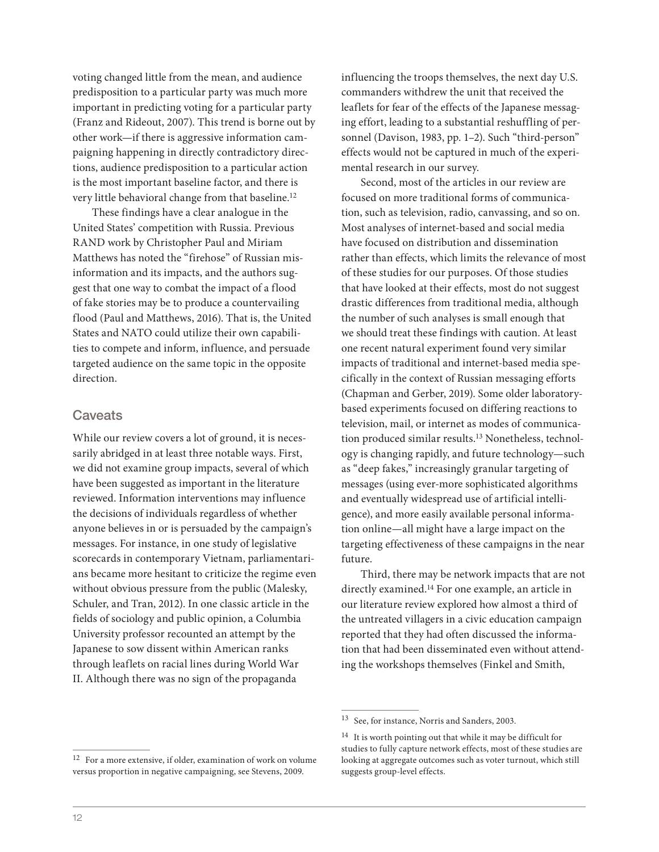voting changed little from the mean, and audience predisposition to a particular party was much more important in predicting voting for a particular party (Franz and Rideout, 2007). This trend is borne out by other work—if there is aggressive information campaigning happening in directly contradictory directions, audience predisposition to a particular action is the most important baseline factor, and there is very little behavioral change from that baseline.12

These findings have a clear analogue in the United States' competition with Russia. Previous RAND work by Christopher Paul and Miriam Matthews has noted the "firehose" of Russian misinformation and its impacts, and the authors suggest that one way to combat the impact of a flood of fake stories may be to produce a countervailing flood (Paul and Matthews, 2016). That is, the United States and NATO could utilize their own capabilities to compete and inform, influence, and persuade targeted audience on the same topic in the opposite direction.

## **Caveats**

While our review covers a lot of ground, it is necessarily abridged in at least three notable ways. First, we did not examine group impacts, several of which have been suggested as important in the literature reviewed. Information interventions may influence the decisions of individuals regardless of whether anyone believes in or is persuaded by the campaign's messages. For instance, in one study of legislative scorecards in contemporary Vietnam, parliamentarians became more hesitant to criticize the regime even without obvious pressure from the public (Malesky, Schuler, and Tran, 2012). In one classic article in the fields of sociology and public opinion, a Columbia University professor recounted an attempt by the Japanese to sow dissent within American ranks through leaflets on racial lines during World War II. Although there was no sign of the propaganda

influencing the troops themselves, the next day U.S. commanders withdrew the unit that received the leaflets for fear of the effects of the Japanese messaging effort, leading to a substantial reshuffling of personnel (Davison, 1983, pp. 1–2). Such "third-person" effects would not be captured in much of the experimental research in our survey.

Second, most of the articles in our review are focused on more traditional forms of communication, such as television, radio, canvassing, and so on. Most analyses of internet-based and social media have focused on distribution and dissemination rather than effects, which limits the relevance of most of these studies for our purposes. Of those studies that have looked at their effects, most do not suggest drastic differences from traditional media, although the number of such analyses is small enough that we should treat these findings with caution. At least one recent natural experiment found very similar impacts of traditional and internet-based media specifically in the context of Russian messaging efforts (Chapman and Gerber, 2019). Some older laboratorybased experiments focused on differing reactions to television, mail, or internet as modes of communication produced similar results.13 Nonetheless, technology is changing rapidly, and future technology—such as "deep fakes," increasingly granular targeting of messages (using ever-more sophisticated algorithms and eventually widespread use of artificial intelligence), and more easily available personal information online—all might have a large impact on the targeting effectiveness of these campaigns in the near future.

Third, there may be network impacts that are not directly examined.14 For one example, an article in our literature review explored how almost a third of the untreated villagers in a civic education campaign reported that they had often discussed the information that had been disseminated even without attending the workshops themselves (Finkel and Smith,

<sup>13</sup> See, for instance, Norris and Sanders, 2003.

<sup>&</sup>lt;sup>14</sup> It is worth pointing out that while it may be difficult for studies to fully capture network effects, most of these studies are looking at aggregate outcomes such as voter turnout, which still suggests group-level effects.

<sup>12</sup> For a more extensive, if older, examination of work on volume versus proportion in negative campaigning, see Stevens, 2009.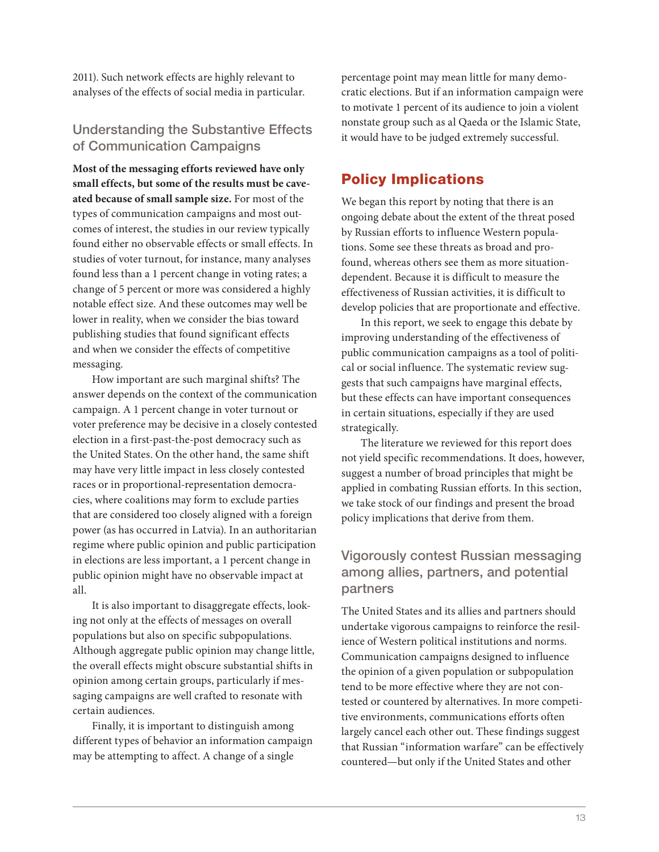2011). Such network effects are highly relevant to analyses of the effects of social media in particular.

# Understanding the Substantive Effects of Communication Campaigns

**Most of the messaging efforts reviewed have only small effects, but some of the results must be caveated because of small sample size.** For most of the types of communication campaigns and most outcomes of interest, the studies in our review typically found either no observable effects or small effects. In studies of voter turnout, for instance, many analyses found less than a 1 percent change in voting rates; a change of 5 percent or more was considered a highly notable effect size. And these outcomes may well be lower in reality, when we consider the bias toward publishing studies that found significant effects and when we consider the effects of competitive messaging.

How important are such marginal shifts? The answer depends on the context of the communication campaign. A 1 percent change in voter turnout or voter preference may be decisive in a closely contested election in a first-past-the-post democracy such as the United States. On the other hand, the same shift may have very little impact in less closely contested races or in proportional-representation democracies, where coalitions may form to exclude parties that are considered too closely aligned with a foreign power (as has occurred in Latvia). In an authoritarian regime where public opinion and public participation in elections are less important, a 1 percent change in public opinion might have no observable impact at all.

It is also important to disaggregate effects, looking not only at the effects of messages on overall populations but also on specific subpopulations. Although aggregate public opinion may change little, the overall effects might obscure substantial shifts in opinion among certain groups, particularly if messaging campaigns are well crafted to resonate with certain audiences.

Finally, it is important to distinguish among different types of behavior an information campaign may be attempting to affect. A change of a single

percentage point may mean little for many democratic elections. But if an information campaign were to motivate 1 percent of its audience to join a violent nonstate group such as al Qaeda or the Islamic State, it would have to be judged extremely successful.

# Policy Implications

We began this report by noting that there is an ongoing debate about the extent of the threat posed by Russian efforts to influence Western populations. Some see these threats as broad and profound, whereas others see them as more situationdependent. Because it is difficult to measure the effectiveness of Russian activities, it is difficult to develop policies that are proportionate and effective.

In this report, we seek to engage this debate by improving understanding of the effectiveness of public communication campaigns as a tool of political or social influence. The systematic review suggests that such campaigns have marginal effects, but these effects can have important consequences in certain situations, especially if they are used strategically.

The literature we reviewed for this report does not yield specific recommendations. It does, however, suggest a number of broad principles that might be applied in combating Russian efforts. In this section, we take stock of our findings and present the broad policy implications that derive from them.

# Vigorously contest Russian messaging among allies, partners, and potential partners

The United States and its allies and partners should undertake vigorous campaigns to reinforce the resilience of Western political institutions and norms. Communication campaigns designed to influence the opinion of a given population or subpopulation tend to be more effective where they are not contested or countered by alternatives. In more competitive environments, communications efforts often largely cancel each other out. These findings suggest that Russian "information warfare" can be effectively countered—but only if the United States and other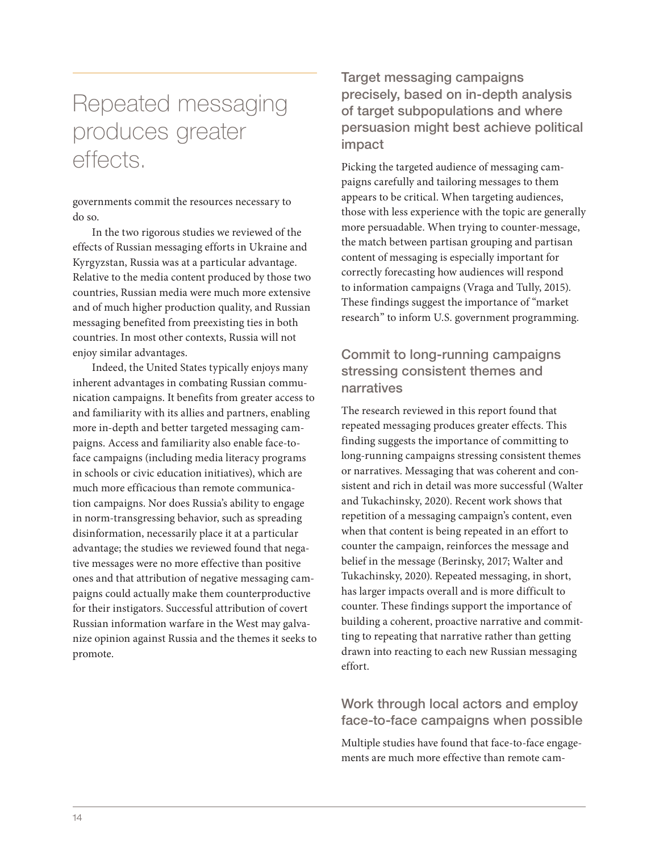# Repeated messaging produces greater effects.

governments commit the resources necessary to do so.

In the two rigorous studies we reviewed of the effects of Russian messaging efforts in Ukraine and Kyrgyzstan, Russia was at a particular advantage. Relative to the media content produced by those two countries, Russian media were much more extensive and of much higher production quality, and Russian messaging benefited from preexisting ties in both countries. In most other contexts, Russia will not enjoy similar advantages.

Indeed, the United States typically enjoys many inherent advantages in combating Russian communication campaigns. It benefits from greater access to and familiarity with its allies and partners, enabling more in-depth and better targeted messaging campaigns. Access and familiarity also enable face-toface campaigns (including media literacy programs in schools or civic education initiatives), which are much more efficacious than remote communication campaigns. Nor does Russia's ability to engage in norm-transgressing behavior, such as spreading disinformation, necessarily place it at a particular advantage; the studies we reviewed found that negative messages were no more effective than positive ones and that attribution of negative messaging campaigns could actually make them counterproductive for their instigators. Successful attribution of covert Russian information warfare in the West may galvanize opinion against Russia and the themes it seeks to promote.

Target messaging campaigns precisely, based on in-depth analysis of target subpopulations and where persuasion might best achieve political impact

Picking the targeted audience of messaging campaigns carefully and tailoring messages to them appears to be critical. When targeting audiences, those with less experience with the topic are generally more persuadable. When trying to counter-message, the match between partisan grouping and partisan content of messaging is especially important for correctly forecasting how audiences will respond to information campaigns (Vraga and Tully, 2015). These findings suggest the importance of "market research" to inform U.S. government programming.

# Commit to long-running campaigns stressing consistent themes and narratives

The research reviewed in this report found that repeated messaging produces greater effects. This finding suggests the importance of committing to long-running campaigns stressing consistent themes or narratives. Messaging that was coherent and consistent and rich in detail was more successful (Walter and Tukachinsky, 2020). Recent work shows that repetition of a messaging campaign's content, even when that content is being repeated in an effort to counter the campaign, reinforces the message and belief in the message (Berinsky, 2017; Walter and Tukachinsky, 2020). Repeated messaging, in short, has larger impacts overall and is more difficult to counter. These findings support the importance of building a coherent, proactive narrative and committing to repeating that narrative rather than getting drawn into reacting to each new Russian messaging effort.

# Work through local actors and employ face-to-face campaigns when possible

Multiple studies have found that face-to-face engagements are much more effective than remote cam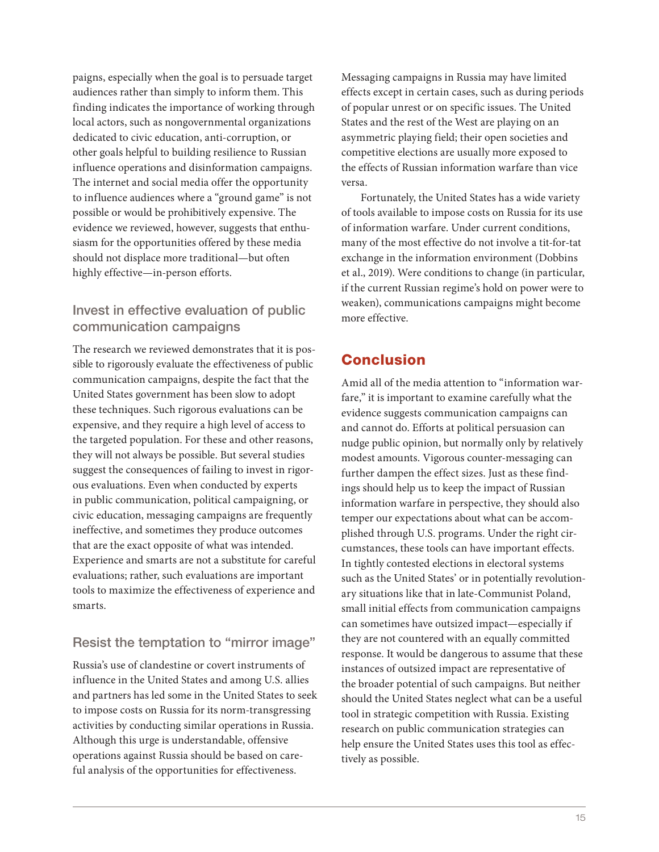paigns, especially when the goal is to persuade target audiences rather than simply to inform them. This finding indicates the importance of working through local actors, such as nongovernmental organizations dedicated to civic education, anti-corruption, or other goals helpful to building resilience to Russian influence operations and disinformation campaigns. The internet and social media offer the opportunity to influence audiences where a "ground game" is not possible or would be prohibitively expensive. The evidence we reviewed, however, suggests that enthusiasm for the opportunities offered by these media should not displace more traditional—but often highly effective—in-person efforts.

# Invest in effective evaluation of public communication campaigns

The research we reviewed demonstrates that it is possible to rigorously evaluate the effectiveness of public communication campaigns, despite the fact that the United States government has been slow to adopt these techniques. Such rigorous evaluations can be expensive, and they require a high level of access to the targeted population. For these and other reasons, they will not always be possible. But several studies suggest the consequences of failing to invest in rigorous evaluations. Even when conducted by experts in public communication, political campaigning, or civic education, messaging campaigns are frequently ineffective, and sometimes they produce outcomes that are the exact opposite of what was intended. Experience and smarts are not a substitute for careful evaluations; rather, such evaluations are important tools to maximize the effectiveness of experience and smarts.

# Resist the temptation to "mirror image"

Russia's use of clandestine or covert instruments of influence in the United States and among U.S. allies and partners has led some in the United States to seek to impose costs on Russia for its norm-transgressing activities by conducting similar operations in Russia. Although this urge is understandable, offensive operations against Russia should be based on careful analysis of the opportunities for effectiveness.

Messaging campaigns in Russia may have limited effects except in certain cases, such as during periods of popular unrest or on specific issues. The United States and the rest of the West are playing on an asymmetric playing field; their open societies and competitive elections are usually more exposed to the effects of Russian information warfare than vice versa.

Fortunately, the United States has a wide variety of tools available to impose costs on Russia for its use of information warfare. Under current conditions, many of the most effective do not involve a tit-for-tat exchange in the information environment (Dobbins et al., 2019). Were conditions to change (in particular, if the current Russian regime's hold on power were to weaken), communications campaigns might become more effective.

# Conclusion

Amid all of the media attention to "information warfare," it is important to examine carefully what the evidence suggests communication campaigns can and cannot do. Efforts at political persuasion can nudge public opinion, but normally only by relatively modest amounts. Vigorous counter-messaging can further dampen the effect sizes. Just as these findings should help us to keep the impact of Russian information warfare in perspective, they should also temper our expectations about what can be accomplished through U.S. programs. Under the right circumstances, these tools can have important effects. In tightly contested elections in electoral systems such as the United States' or in potentially revolutionary situations like that in late-Communist Poland, small initial effects from communication campaigns can sometimes have outsized impact—especially if they are not countered with an equally committed response. It would be dangerous to assume that these instances of outsized impact are representative of the broader potential of such campaigns. But neither should the United States neglect what can be a useful tool in strategic competition with Russia. Existing research on public communication strategies can help ensure the United States uses this tool as effectively as possible.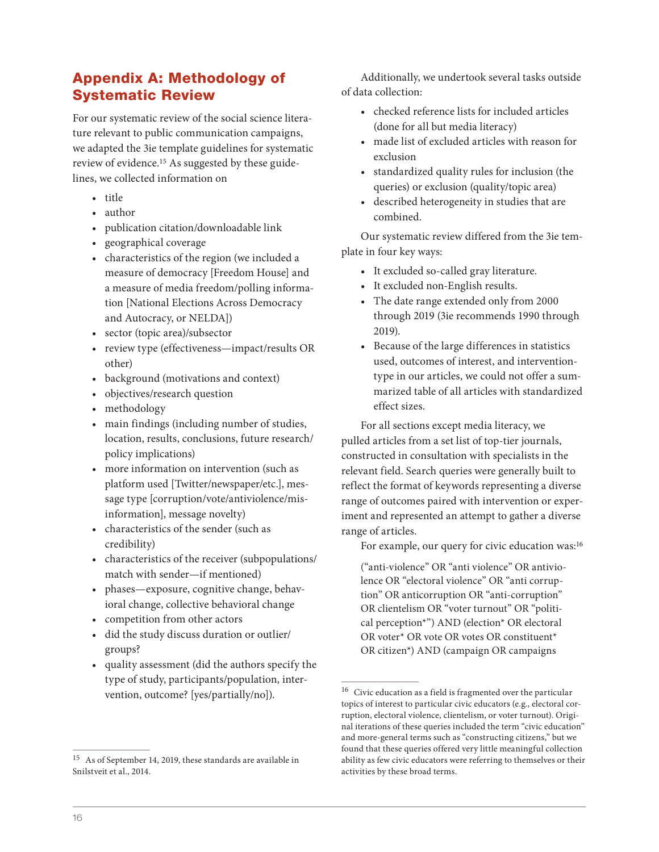# Appendix A: Methodology of Systematic Review

For our systematic review of the social science literature relevant to public communication campaigns, we adapted the 3ie template guidelines for systematic review of evidence.15 As suggested by these guidelines, we collected information on

- title
- author
- publication citation/downloadable link
- geographical coverage
- characteristics of the region (we included a measure of democracy [Freedom House] and a measure of media freedom/polling information [National Elections Across Democracy and Autocracy, or NELDA])
- sector (topic area)/subsector
- review type (effectiveness—impact/results OR other)
- background (motivations and context)
- objectives/research question
- methodology
- main findings (including number of studies, location, results, conclusions, future research/ policy implications)
- more information on intervention (such as platform used [Twitter/newspaper/etc.], message type [corruption/vote/antiviolence/misinformation], message novelty)
- characteristics of the sender (such as credibility)
- characteristics of the receiver (subpopulations/ match with sender—if mentioned)
- phases—exposure, cognitive change, behavioral change, collective behavioral change
- competition from other actors
- did the study discuss duration or outlier/ groups?
- quality assessment (did the authors specify the type of study, participants/population, intervention, outcome? [yes/partially/no]).

Additionally, we undertook several tasks outside of data collection:

- checked reference lists for included articles (done for all but media literacy)
- made list of excluded articles with reason for exclusion
- standardized quality rules for inclusion (the queries) or exclusion (quality/topic area)
- described heterogeneity in studies that are combined.

Our systematic review differed from the 3ie template in four key ways:

- It excluded so-called gray literature.
- It excluded non-English results.
- The date range extended only from 2000 through 2019 (3ie recommends 1990 through 2019).
- Because of the large differences in statistics used, outcomes of interest, and interventiontype in our articles, we could not offer a summarized table of all articles with standardized effect sizes.

For all sections except media literacy, we pulled articles from a set list of top-tier journals, constructed in consultation with specialists in the relevant field. Search queries were generally built to reflect the format of keywords representing a diverse range of outcomes paired with intervention or experiment and represented an attempt to gather a diverse range of articles.

For example, our query for civic education was:<sup>16</sup>

("anti-violence" OR "anti violence" OR antiviolence OR "electoral violence" OR "anti corruption" OR anticorruption OR "anti-corruption" OR clientelism OR "voter turnout" OR "political perception\*") AND (election\* OR electoral OR voter\* OR vote OR votes OR constituent\* OR citizen\*) AND (campaign OR campaigns

<sup>15</sup> As of September 14, 2019, these standards are available in Snilstveit et al., 2014.

 $^{16}\,$  Civic education as a field is fragmented over the particular topics of interest to particular civic educators (e.g., electoral corruption, electoral violence, clientelism, or voter turnout). Original iterations of these queries included the term "civic education" and more-general terms such as "constructing citizens," but we found that these queries offered very little meaningful collection ability as few civic educators were referring to themselves or their activities by these broad terms.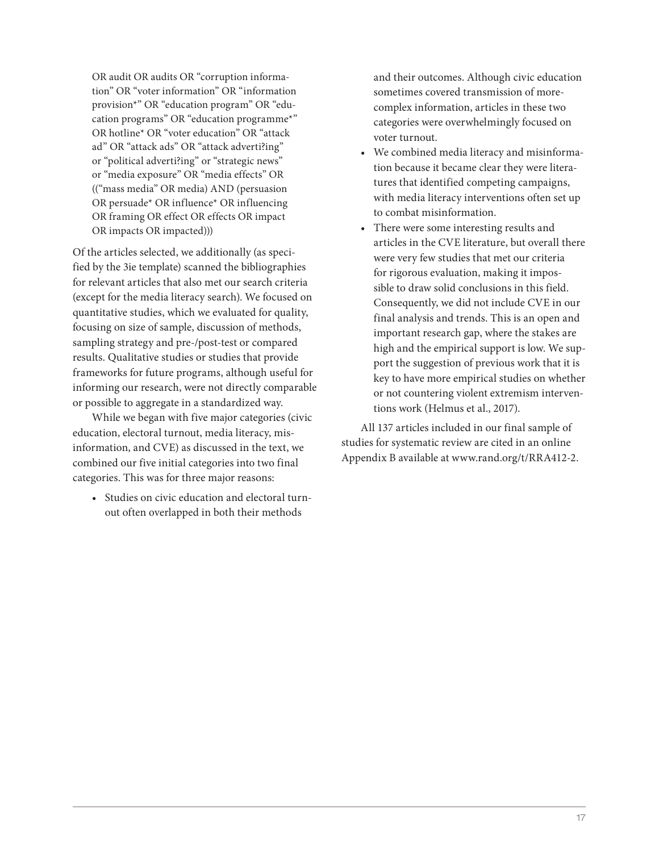OR audit OR audits OR "corruption information" OR "voter information" OR "information provision\*" OR "education program" OR "education programs" OR "education programme\*" OR hotline\* OR "voter education" OR "attack ad" OR "attack ads" OR "attack adverti?ing" or "political adverti?ing" or "strategic news" or "media exposure" OR "media effects" OR (("mass media" OR media) AND (persuasion OR persuade\* OR influence\* OR influencing OR framing OR effect OR effects OR impact OR impacts OR impacted)))

Of the articles selected, we additionally (as specified by the 3ie template) scanned the bibliographies for relevant articles that also met our search criteria (except for the media literacy search). We focused on quantitative studies, which we evaluated for quality, focusing on size of sample, discussion of methods, sampling strategy and pre-/post-test or compared results. Qualitative studies or studies that provide frameworks for future programs, although useful for informing our research, were not directly comparable or possible to aggregate in a standardized way.

While we began with five major categories (civic education, electoral turnout, media literacy, misinformation, and CVE) as discussed in the text, we combined our five initial categories into two final categories. This was for three major reasons:

• Studies on civic education and electoral turnout often overlapped in both their methods

and their outcomes. Although civic education sometimes covered transmission of morecomplex information, articles in these two categories were overwhelmingly focused on voter turnout.

- We combined media literacy and misinformation because it became clear they were literatures that identified competing campaigns, with media literacy interventions often set up to combat misinformation.
- There were some interesting results and articles in the CVE literature, but overall there were very few studies that met our criteria for rigorous evaluation, making it impossible to draw solid conclusions in this field. Consequently, we did not include CVE in our final analysis and trends. This is an open and important research gap, where the stakes are high and the empirical support is low. We support the suggestion of previous work that it is key to have more empirical studies on whether or not countering violent extremism interventions work (Helmus et al., 2017).

All 137 articles included in our final sample of studies for systematic review are cited in an online Appendix B available at [www.rand.org/t/RRA412-2.](http://www.rand.org/t/RRA412-2)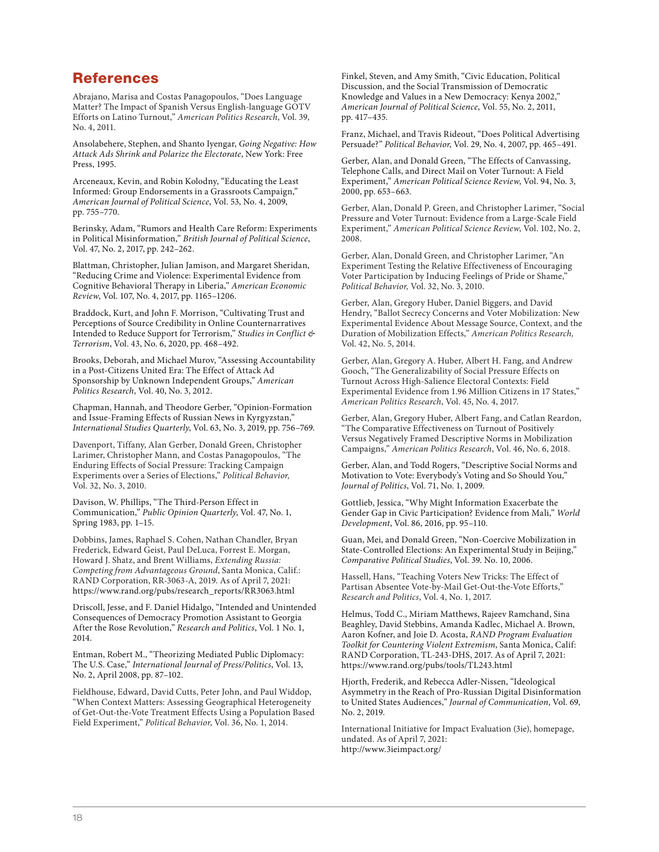# References

Abrajano, Marisa and Costas Panagopoulos, "Does Language Matter? The Impact of Spanish Versus English-language GOTV Efforts on Latino Turnout," *American Politics Research*, Vol. 39, No. 4, 2011.

Ansolabehere, Stephen, and Shanto Iyengar, *Going Negative: How Attack Ads Shrink and Polarize the Electorate*, New York: Free Press, 1995.

Arceneaux, Kevin, and Robin Kolodny, "Educating the Least Informed: Group Endorsements in a Grassroots Campaign," *American Journal of Political Science*, Vol. 53, No. 4, 2009, pp. 755–770.

Berinsky, Adam, "Rumors and Health Care Reform: Experiments in Political Misinformation," *British Journal of Political Science*, Vol. 47, No. 2, 2017, pp. 242–262.

Blattman, Christopher, Julian Jamison, and Margaret Sheridan, "Reducing Crime and Violence: Experimental Evidence from Cognitive Behavioral Therapy in Liberia," *American Economic Review*, Vol. 107, No. 4, 2017, pp. 1165–1206.

Braddock, Kurt, and John F. Morrison, "Cultivating Trust and Perceptions of Source Credibility in Online Counternarratives Intended to Reduce Support for Terrorism," *Studies in Conflict & Terrorism*, Vol. 43, No. 6, 2020, pp. 468–492.

Brooks, Deborah, and Michael Murov, "Assessing Accountability in a Post-Citizens United Era: The Effect of Attack Ad Sponsorship by Unknown Independent Groups," *American Politics Research*, Vol. 40, No. 3, 2012.

Chapman, Hannah, and Theodore Gerber, "Opinion-Formation and Issue-Framing Effects of Russian News in Kyrgyzstan," *International Studies Quarterly*, Vol. 63, No. 3, 2019, pp. 756–769.

Davenport, Tiffany, Alan Gerber, Donald Green, Christopher Larimer, Christopher Mann, and Costas Panagopoulos, "The Enduring Effects of Social Pressure: Tracking Campaign Experiments over a Series of Elections," *Political Behavior,*  Vol. 32, No. 3, 2010.

Davison, W. Phillips, "The Third-Person Effect in Communication," *Public Opinion Quarterly*, Vol. 47, No. 1, Spring 1983, pp. 1–15.

Dobbins, James, Raphael S. Cohen, Nathan Chandler, Bryan Frederick, Edward Geist, Paul DeLuca, Forrest E. Morgan, Howard J. Shatz, and Brent Williams, *Extending Russia: Competing from Advantageous Ground*, Santa Monica, Calif.: RAND Corporation, RR-3063-A, 2019. As of April 7, 2021: [https://www.rand.org/pubs/research\\_reports/RR3063.html](https://www.rand.org/pubs/research_reports/RR3063.html)

Driscoll, Jesse, and F. Daniel Hidalgo, "Intended and Unintended Consequences of Democracy Promotion Assistant to Georgia After the Rose Revolution," *Research and Politics*, Vol. 1 No. 1, 2014.

Entman, Robert M., "Theorizing Mediated Public Diplomacy: The U.S. Case," *International Journal of Press/Politics*, Vol. 13, No. 2, April 2008, pp. 87–102.

Fieldhouse, Edward, David Cutts, Peter John, and Paul Widdop, "When Context Matters: Assessing Geographical Heterogeneity of Get-Out-the-Vote Treatment Effects Using a Population Based Field Experiment," *Political Behavior*, Vol. 36, No. 1, 2014.

Finkel, Steven, and Amy Smith, "Civic Education, Political Discussion, and the Social Transmission of Democratic Knowledge and Values in a New Democracy: Kenya 2002," *American Journal of Political Science*, Vol. 55, No. 2, 2011, pp. 417–435.

Franz, Michael, and Travis Rideout, "Does Political Advertising Persuade?" *Political Behavior*, Vol. 29, No. 4, 2007, pp. 465–491.

Gerber, Alan, and Donald Green, "The Effects of Canvassing, Telephone Calls, and Direct Mail on Voter Turnout: A Field Experiment," *American Political Science Review*, Vol. 94, No. 3, 2000, pp. 653–663.

Gerber, Alan, Donald P. Green, and Christopher Larimer, "Social Pressure and Voter Turnout: Evidence from a Large-Scale Field Experiment," *American Political Science Review*, Vol. 102, No. 2, 2008.

Gerber, Alan, Donald Green, and Christopher Larimer, "An Experiment Testing the Relative Effectiveness of Encouraging Voter Participation by Inducing Feelings of Pride or Shame," *Political Behavior,* Vol. 32, No. 3, 2010.

Gerber, Alan, Gregory Huber, Daniel Biggers, and David Hendry, "Ballot Secrecy Concerns and Voter Mobilization: New Experimental Evidence About Message Source, Context, and the Duration of Mobilization Effects," *American Politics Research,*  Vol. 42, No. 5, 2014.

Gerber, Alan, Gregory A. Huber, Albert H. Fang, and Andrew Gooch, "The Generalizability of Social Pressure Effects on Turnout Across High-Salience Electoral Contexts: Field Experimental Evidence from 1.96 Million Citizens in 17 States," *American Politics Research*, Vol. 45, No. 4, 2017.

Gerber, Alan, Gregory Huber, Albert Fang, and Catlan Reardon, "The Comparative Effectiveness on Turnout of Positively Versus Negatively Framed Descriptive Norms in Mobilization Campaigns," *American Politics Research*, Vol. 46, No. 6, 2018.

Gerber, Alan, and Todd Rogers, "Descriptive Social Norms and Motivation to Vote: Everybody's Voting and So Should You," *Journal of Politics*, Vol. 71, No. 1, 2009.

Gottlieb, Jessica, "Why Might Information Exacerbate the Gender Gap in Civic Participation? Evidence from Mali," *World Development*, Vol. 86, 2016, pp. 95–110.

Guan, Mei, and Donald Green, "Non-Coercive Mobilization in State-Controlled Elections: An Experimental Study in Beijing," *Comparative Political Studies*, Vol. 39. No. 10, 2006.

Hassell, Hans, "Teaching Voters New Tricks: The Effect of Partisan Absentee Vote-by-Mail Get-Out-the-Vote Efforts," *Research and Politics*, Vol. 4, No. 1, 2017.

Helmus, Todd C., Miriam Matthews, Rajeev Ramchand, Sina Beaghley, David Stebbins, Amanda Kadlec, Michael A. Brown, Aaron Kofner, and Joie D. Acosta, *RAND Program Evaluation Toolkit for Countering Violent Extremism*, Santa Monica, Calif: RAND Corporation, TL-243-DHS, 2017. As of April 7, 2021: <https://www.rand.org/pubs/tools/TL243.html>

Hjorth, Frederik, and Rebecca Adler-Nissen, "Ideological Asymmetry in the Reach of Pro-Russian Digital Disinformation to United States Audiences," *Journal of Communication*, Vol. 69, No. 2, 2019.

International Initiative for Impact Evaluation (3ie), homepage, undated. As of April 7, 2021: <http://www.3ieimpact.org/>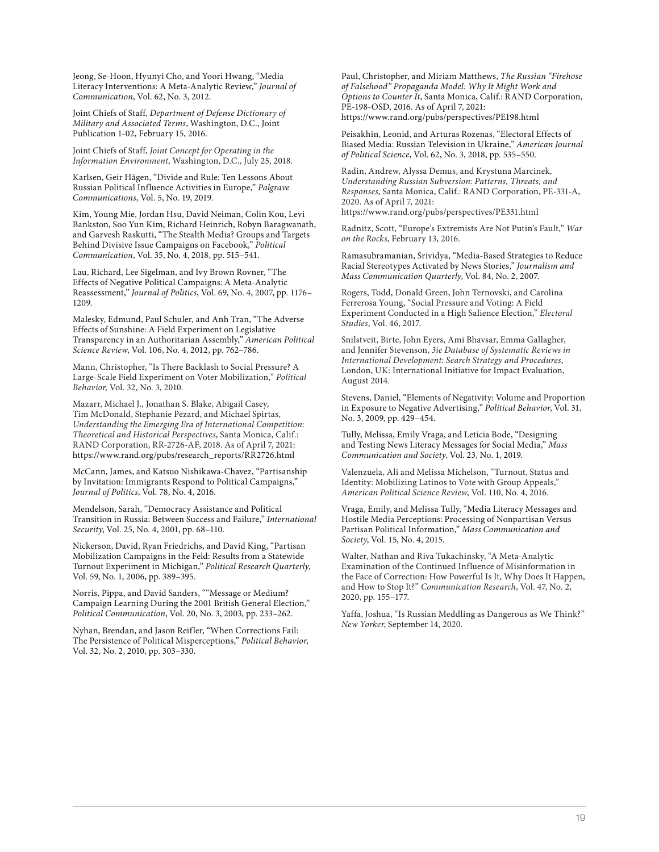Jeong, Se-Hoon, Hyunyi Cho, and Yoori Hwang, "Media Literacy Interventions: A Meta-Analytic Review," *Journal of Communication*, Vol. 62, No. 3, 2012.

Joint Chiefs of Staff, *Department of Defense Dictionary of Military and Associated Terms*, Washington, D.C., Joint Publication 1-02, February 15, 2016.

Joint Chiefs of Staff, *Joint Concept for Operating in the Information Environment*, Washington, D.C., July 25, 2018.

Karlsen, Geir Hågen, "Divide and Rule: Ten Lessons About Russian Political Influence Activities in Europe," *Palgrave Communications*, Vol. 5, No. 19, 2019.

Kim, Young Mie, Jordan Hsu, David Neiman, Colin Kou, Levi Bankston, Soo Yun Kim, Richard Heinrich, Robyn Baragwanath, and Garvesh Raskutti, "The Stealth Media? Groups and Targets Behind Divisive Issue Campaigns on Facebook," *Political Communication*, Vol. 35, No. 4, 2018, pp. 515–541.

Lau, Richard, Lee Sigelman, and Ivy Brown Rovner, "The Effects of Negative Political Campaigns: A Meta-Analytic Reassessment," *Journal of Politics*, Vol. 69, No. 4, 2007, pp. 1176– 1209.

Malesky, Edmund, Paul Schuler, and Anh Tran, "The Adverse Effects of Sunshine: A Field Experiment on Legislative Transparency in an Authoritarian Assembly," *American Political Science Review*, Vol. 106, No. 4, 2012, pp. 762–786.

Mann, Christopher, "Is There Backlash to Social Pressure? A Large-Scale Field Experiment on Voter Mobilization," *Political Behavior,* Vol. 32, No. 3, 2010.

Mazarr, Michael J., Jonathan S. Blake, Abigail Casey, Tim McDonald, Stephanie Pezard, and Michael Spirtas, *Understanding the Emerging Era of International Competition: Theoretical and Historical Perspectives*, Santa Monica, Calif.: RAND Corporation, RR-2726-AF, 2018. As of April 7, 2021: [https://www.rand.org/pubs/research\\_reports/RR2726.html](https://www.rand.org/pubs/research_reports/RR2726.html)

McCann, James, and Katsuo Nishikawa-Chavez, "Partisanship by Invitation: Immigrants Respond to Political Campaigns," *Journal of Politics*, Vol. 78, No. 4, 2016.

Mendelson, Sarah, "Democracy Assistance and Political Transition in Russia: Between Success and Failure," *International Security*, Vol. 25, No. 4, 2001, pp. 68–110.

Nickerson, David, Ryan Friedrichs, and David King, "Partisan Mobilization Campaigns in the Feld: Results from a Statewide Turnout Experiment in Michigan," *Political Research Quarterly*, Vol. 59, No. 1, 2006, pp. 389–395.

Norris, Pippa, and David Sanders, ""Message or Medium? Campaign Learning During the 2001 British General Election," *Political Communication*, Vol. 20, No. 3, 2003, pp. 233–262.

Nyhan, Brendan, and Jason Reifler, "When Corrections Fail: The Persistence of Political Misperceptions," *Political Behavior*, Vol. 32, No. 2, 2010, pp. 303–330.

Paul, Christopher, and Miriam Matthews, *The Russian "Firehose of Falsehood" Propaganda Model: Why It Might Work and Options to Counter It*, Santa Monica, Calif.: RAND Corporation, PE-198-OSD, 2016. As of April 7, 2021: <https://www.rand.org/pubs/perspectives/PE198.html>

Peisakhin, Leonid, and Arturas Rozenas, "Electoral Effects of Biased Media: Russian Television in Ukraine," *American Journal of Political Science*, Vol. 62, No. 3, 2018, pp. 535–550.

Radin, Andrew, Alyssa Demus, and Krystuna Marcinek, *Understanding Russian Subversion: Patterns, Threats, and Responses*, Santa Monica, Calif.: RAND Corporation, PE-331-A, 2020. As of April 7, 2021:

<https://www.rand.org/pubs/perspectives/PE331.html>

Radnitz, Scott, "Europe's Extremists Are Not Putin's Fault," *War on the Rocks*, February 13, 2016.

Ramasubramanian, Srividya, "Media-Based Strategies to Reduce Racial Stereotypes Activated by News Stories," *Journalism and Mass Communication Quarterly*, Vol. 84, No. 2, 2007.

Rogers, Todd, Donald Green, John Ternovski, and Carolina Ferrerosa Young, "Social Pressure and Voting: A Field Experiment Conducted in a High Salience Election," *Electoral Studies*, Vol. 46, 2017.

Snilstveit, Birte, John Eyers, Ami Bhavsar, Emma Gallagher, and Jennifer Stevenson, *3ie Database of Systematic Reviews in International Development: Search Strategy and Procedures*, London, UK: International Initiative for Impact Evaluation, August 2014.

Stevens, Daniel, "Elements of Negativity: Volume and Proportion in Exposure to Negative Advertising," *Political Behavior*, Vol. 31, No. 3, 2009, pp. 429–454.

Tully, Melissa, Emily Vraga, and Leticia Bode, "Designing and Testing News Literacy Messages for Social Media," *Mass Communication and Society*, Vol. 23, No. 1, 2019.

Valenzuela, Ali and Melissa Michelson, "Turnout, Status and Identity: Mobilizing Latinos to Vote with Group Appeals," *American Political Science Review*, Vol. 110, No. 4, 2016.

Vraga, Emily, and Melissa Tully, "Media Literacy Messages and Hostile Media Perceptions: Processing of Nonpartisan Versus Partisan Political Information," *Mass Communication and Society*, Vol. 15, No. 4, 2015.

Walter, Nathan and Riva Tukachinsky, "A Meta-Analytic Examination of the Continued Influence of Misinformation in the Face of Correction: How Powerful Is It, Why Does It Happen, and How to Stop It?" *Communication Research*, Vol. 47, No. 2, 2020, pp. 155–177.

Yaffa, Joshua, "Is Russian Meddling as Dangerous as We Think?" *New Yorker*, September 14, 2020.